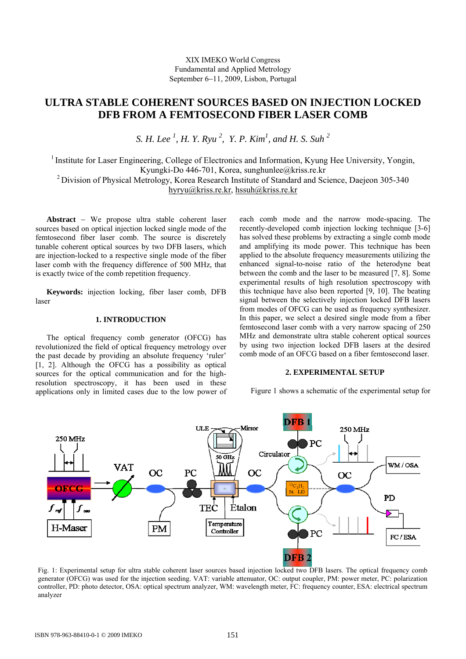# **ULTRA STABLE COHERENT SOURCES BASED ON INJECTION LOCKED DFB FROM A FEMTOSECOND FIBER LASER COMB**

*S. H. Lee 1 , H. Y. Ryu 2 , Y. P. Kim1 , and H. S. Suh 2*

<sup>1</sup> Institute for Laser Engineering, College of Electronics and Information, Kyung Hee University, Yongin, Kyungki-Do 446-701, Korea, sunghunlee@kriss.re.kr <sup>2</sup> Division of Physical Metrology, Korea Research Institute of Standard and Science, Daejeon 305-340 [hyryu@kriss.re.kr](mailto:hyryu@kriss.re.kr), hssuh@kriss.re.kr

**Abstract** − We propose ultra stable coherent laser sources based on optical injection locked single mode of the femtosecond fiber laser comb. The source is discretely tunable coherent optical sources by two DFB lasers, which are injection-locked to a respective single mode of the fiber laser comb with the frequency difference of 500 MHz, that is exactly twice of the comb repetition frequency.

**Keywords:** injection locking, fiber laser comb, DFB laser

## **1. INTRODUCTION**

The optical frequency comb generator (OFCG) has revolutionized the field of optical frequency metrology over the past decade by providing an absolute frequency 'ruler' [1, 2]. Although the OFCG has a possibility as optical sources for the optical communication and for the highresolution spectroscopy, it has been used in these applications only in limited cases due to the low power of each comb mode and the narrow mode-spacing. The recently-developed comb injection locking technique [3-6] has solved these problems by extracting a single comb mode and amplifying its mode power. This technique has been applied to the absolute frequency measurements utilizing the enhanced signal-to-noise ratio of the heterodyne beat between the comb and the laser to be measured [7, 8]. Some experimental results of high resolution spectroscopy with this technique have also been reported [9, 10]. The beating signal between the selectively injection locked DFB lasers from modes of OFCG can be used as frequency synthesizer. In this paper, we select a desired single mode from a fiber femtosecond laser comb with a very narrow spacing of 250 MHz and demonstrate ultra stable coherent optical sources by using two injection locked DFB lasers at the desired comb mode of an OFCG based on a fiber femtosecond laser.

## **2. EXPERIMENTAL SETUP**

Figure 1 shows a schematic of the experimental setup for



generator (OFCG) was used for the injection seeding. VAT: variable attenuator, OC: output coupler, PM: power meter, PC: polarization controller, PD: photo detector, OSA: optical spectrum analyzer, WM: wavelength meter, FC: frequency counter, ESA: electrical spectrum analyzer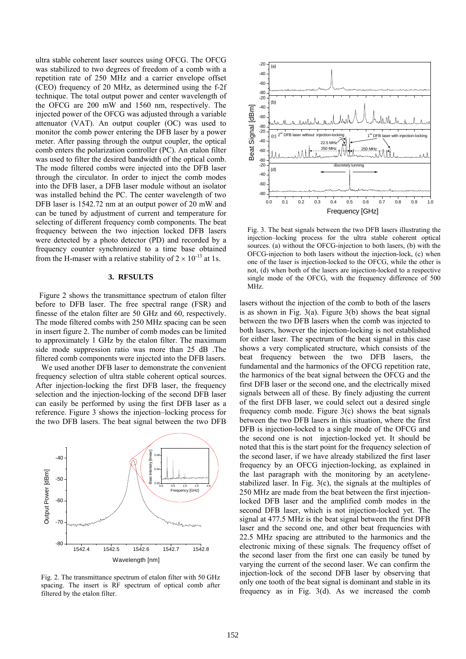ultra stable coherent laser sources using OFCG. The OFCG was stabilized to two degrees of freedom of a comb with a repetition rate of 250 MHz and a carrier envelope offset (CEO) frequency of 20 MHz, as determined using the f-2f technique. The total output power and center wavelength of the OFCG are 200 mW and 1560 nm, respectively. The injected power of the OFCG was adjusted through a variable attenuator (VAT). An output coupler (OC) was used to monitor the comb power entering the DFB laser by a power meter. After passing through the output coupler, the optical comb enters the polarization controller (PC). An etalon filter was used to filter the desired bandwidth of the optical comb. The mode filtered combs were injected into the DFB laser through the circulator. In order to inject the comb modes into the DFB laser, a DFB laser module without an isolator was installed behind the PC. The center wavelength of two DFB laser is 1542.72 nm at an output power of 20 mW and can be tuned by adjustment of current and temperature for selecting of different frequency comb components. The beat frequency between the two injection locked DFB lasers were detected by a photo detector (PD) and recorded by a frequency counter synchronized to a time base obtained from the H-maser with a relative stability of  $2 \times 10^{-13}$  at 1s.

### **3. RFSULTS**

Figure 2 shows the transmittance spectrum of etalon filter before to DFB laser. The free spectral range (FSR) and finesse of the etalon filter are 50 GHz and 60, respectively. The mode filtered combs with 250 MHz spacing can be seen in insert figure 2. The number of comb modes can be limited to approximately 1 GHz by the etalon filter. The maximum side mode suppression ratio was more than 25 dB .The filtered comb components were injected into the DFB lasers.

 We used another DFB laser to demonstrate the convenient frequency selection of ultra stable coherent optical sources. After injection-locking the first DFB laser, the frequency selection and the injection-locking of the second DFB laser can easily be performed by using the first DFB laser as a reference. Figure 3 shows the injection–locking process for the two DFB lasers. The beat signal between the two DFB



Fig. 2. The transmittance spectrum of etalon filter with 50 GHz spacing. The insert is RF spectrum of optical comb after filtered by the etalon filter.



Fig. 3. The beat signals between the two DFB lasers illustrating the injection–locking process for the ultra stable coherent optical sources. (a) without the OFCG-injection to both lasers, (b) with the OFCG-injection to both lasers without the injection-lock, (c) when one of the laser is injection-locked to the OFCG, while the other is not, (d) when both of the lasers are injection-locked to a respective single mode of the OFCG, with the frequency difference of 500 MHz.

lasers without the injection of the comb to both of the lasers is as shown in Fig. 3(a). Figure 3(b) shows the beat signal between the two DFB lasers when the comb was injected to both lasers, however the injection-locking is not established for either laser. The spectrum of the beat signal in this case shows a very complicated structure, which consists of the beat frequency between the two DFB lasers, the fundamental and the harmonics of the OFCG repetition rate, the harmonics of the beat signal between the OFCG and the first DFB laser or the second one, and the electrically mixed signals between all of these. By finely adjusting the current of the first DFB laser, we could select out a desired single frequency comb mode. Figure  $3(c)$  shows the beat signals between the two DFB lasers in this situation, where the first DFB is injection-locked to a single mode of the OFCG and the second one is not injection-locked yet. It should be noted that this is the start point for the frequency selection of the second laser, if we have already stabilized the first laser frequency by an OFCG injection-locking, as explained in the last paragraph with the monitoring by an acetylenestabilized laser. In Fig. 3(c), the signals at the multiples of 250 MHz are made from the beat between the first injectionlocked DFB laser and the amplified comb modes in the second DFB laser, which is not injection-locked yet. The signal at 477.5 MHz is the beat signal between the first DFB laser and the second one, and other beat frequencies with 22.5 MHz spacing are attributed to the harmonics and the electronic mixing of these signals. The frequency offset of the second laser from the first one can easily be tuned by varying the current of the second laser. We can confirm the injection-lock of the second DFB laser by observing that only one tooth of the beat signal is dominant and stable in its frequency as in Fig. 3(d). As we increased the comb